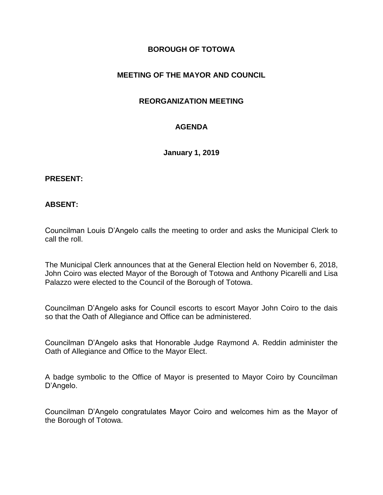## **BOROUGH OF TOTOWA**

# **MEETING OF THE MAYOR AND COUNCIL**

## **REORGANIZATION MEETING**

## **AGENDA**

**January 1, 2019**

#### **PRESENT:**

### **ABSENT:**

Councilman Louis D'Angelo calls the meeting to order and asks the Municipal Clerk to call the roll.

The Municipal Clerk announces that at the General Election held on November 6, 2018, John Coiro was elected Mayor of the Borough of Totowa and Anthony Picarelli and Lisa Palazzo were elected to the Council of the Borough of Totowa.

Councilman D'Angelo asks for Council escorts to escort Mayor John Coiro to the dais so that the Oath of Allegiance and Office can be administered.

Councilman D'Angelo asks that Honorable Judge Raymond A. Reddin administer the Oath of Allegiance and Office to the Mayor Elect.

A badge symbolic to the Office of Mayor is presented to Mayor Coiro by Councilman D'Angelo.

Councilman D'Angelo congratulates Mayor Coiro and welcomes him as the Mayor of the Borough of Totowa.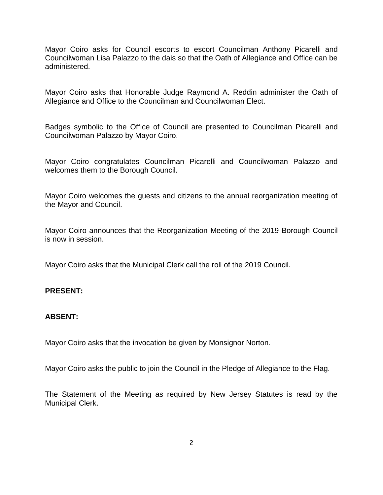Mayor Coiro asks for Council escorts to escort Councilman Anthony Picarelli and Councilwoman Lisa Palazzo to the dais so that the Oath of Allegiance and Office can be administered.

Mayor Coiro asks that Honorable Judge Raymond A. Reddin administer the Oath of Allegiance and Office to the Councilman and Councilwoman Elect.

Badges symbolic to the Office of Council are presented to Councilman Picarelli and Councilwoman Palazzo by Mayor Coiro.

Mayor Coiro congratulates Councilman Picarelli and Councilwoman Palazzo and welcomes them to the Borough Council.

Mayor Coiro welcomes the guests and citizens to the annual reorganization meeting of the Mayor and Council.

Mayor Coiro announces that the Reorganization Meeting of the 2019 Borough Council is now in session.

Mayor Coiro asks that the Municipal Clerk call the roll of the 2019 Council.

### **PRESENT:**

### **ABSENT:**

Mayor Coiro asks that the invocation be given by Monsignor Norton.

Mayor Coiro asks the public to join the Council in the Pledge of Allegiance to the Flag.

The Statement of the Meeting as required by New Jersey Statutes is read by the Municipal Clerk.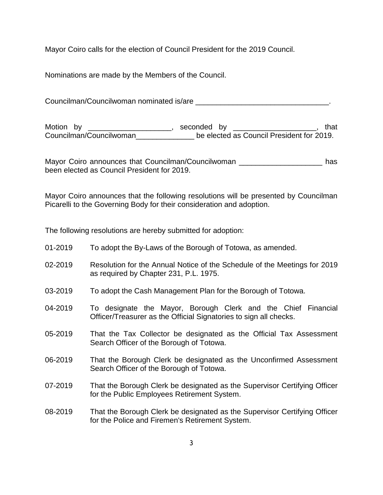Mayor Coiro calls for the election of Council President for the 2019 Council.

Nominations are made by the Members of the Council.

Councilman/Councilwoman nominated is/are  $\overline{\phantom{a}}$ 

Motion by \_\_\_\_\_\_\_\_\_\_\_\_\_\_\_\_\_\_\_\_\_, seconded by \_\_\_\_\_\_\_\_\_\_\_\_\_\_\_\_\_\_\_\_\_, that Councilman/Councilwoman\_\_\_\_\_\_\_\_\_\_\_\_\_\_ be elected as Council President for 2019.

Mayor Coiro announces that Councilman/Councilwoman \_\_\_\_\_\_\_\_\_\_\_\_\_\_\_\_\_\_\_\_\_\_\_\_\_ has been elected as Council President for 2019.

Mayor Coiro announces that the following resolutions will be presented by Councilman Picarelli to the Governing Body for their consideration and adoption.

The following resolutions are hereby submitted for adoption:

01-2019 To adopt the By-Laws of the Borough of Totowa, as amended. 02-2019 Resolution for the Annual Notice of the Schedule of the Meetings for 2019 as required by Chapter 231, P.L. 1975. 03-2019 To adopt the Cash Management Plan for the Borough of Totowa. 04-2019 To designate the Mayor, Borough Clerk and the Chief Financial Officer/Treasurer as the Official Signatories to sign all checks. 05-2019 That the Tax Collector be designated as the Official Tax Assessment Search Officer of the Borough of Totowa. 06-2019 That the Borough Clerk be designated as the Unconfirmed Assessment Search Officer of the Borough of Totowa. 07-2019 That the Borough Clerk be designated as the Supervisor Certifying Officer for the Public Employees Retirement System. 08-2019 That the Borough Clerk be designated as the Supervisor Certifying Officer for the Police and Firemen's Retirement System.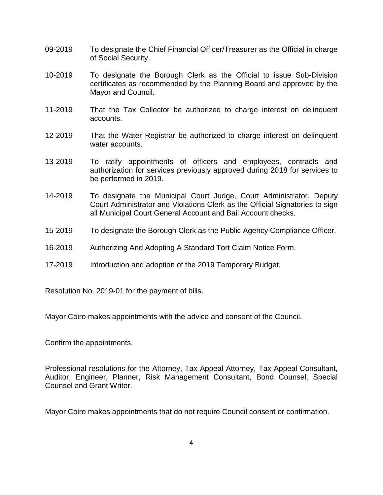- 09-2019 To designate the Chief Financial Officer/Treasurer as the Official in charge of Social Security.
- 10-2019 To designate the Borough Clerk as the Official to issue Sub-Division certificates as recommended by the Planning Board and approved by the Mayor and Council.
- 11-2019 That the Tax Collector be authorized to charge interest on delinquent accounts.
- 12-2019 That the Water Registrar be authorized to charge interest on delinquent water accounts.
- 13-2019 To ratify appointments of officers and employees, contracts and authorization for services previously approved during 2018 for services to be performed in 2019.
- 14-2019 To designate the Municipal Court Judge, Court Administrator, Deputy Court Administrator and Violations Clerk as the Official Signatories to sign all Municipal Court General Account and Bail Account checks.
- 15-2019 To designate the Borough Clerk as the Public Agency Compliance Officer.
- 16-2019 Authorizing And Adopting A Standard Tort Claim Notice Form.
- 17-2019 Introduction and adoption of the 2019 Temporary Budget.

Resolution No. 2019-01 for the payment of bills.

Mayor Coiro makes appointments with the advice and consent of the Council.

Confirm the appointments.

Professional resolutions for the Attorney, Tax Appeal Attorney, Tax Appeal Consultant, Auditor, Engineer, Planner, Risk Management Consultant, Bond Counsel, Special Counsel and Grant Writer.

Mayor Coiro makes appointments that do not require Council consent or confirmation.